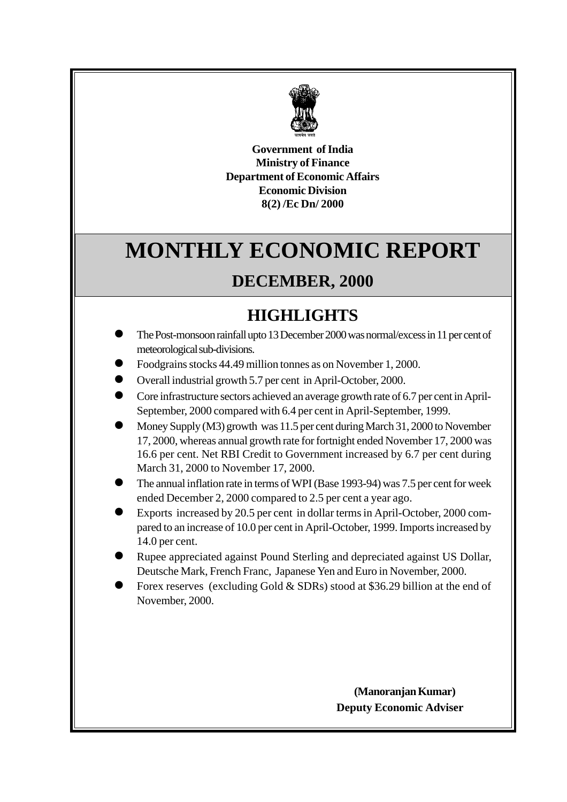

**Government of India Ministry of Finance Department of Economic Affairs Economic Division 8(2) /Ec Dn/ 2000**

# **MONTHLY ECONOMIC REPORT**

# **DECEMBER, 2000**

# **HIGHLIGHTS**

- l The Post-monsoon rainfall upto 13 December 2000 was normal/excess in 11 per cent of meteorological sub-divisions.
- l Foodgrains stocks 44.49 million tonnes as on November 1, 2000.
- l Overall industrial growth 5.7 per cent in April-October, 2000.
- l Core infrastructure sectors achieved an average growth rate of 6.7 per cent in April-September, 2000 compared with 6.4 per cent in April-September, 1999.
- l Money Supply (M3) growth was 11.5 per cent during March 31, 2000 to November 17, 2000, whereas annual growth rate for fortnight ended November 17, 2000 was 16.6 per cent. Net RBI Credit to Government increased by 6.7 per cent during March 31, 2000 to November 17, 2000.
- l The annual inflation rate in terms of WPI (Base 1993-94) was 7.5 per cent for week ended December 2, 2000 compared to 2.5 per cent a year ago.
- l Exports increased by 20.5 per cent in dollar terms in April-October, 2000 compared to an increase of 10.0 per cent in April-October, 1999. Imports increased by 14.0 per cent.
- Rupee appreciated against Pound Sterling and depreciated against US Dollar, Deutsche Mark, French Franc, Japanese Yen and Euro in November, 2000.
- Forex reserves (excluding Gold & SDRs) stood at \$36.29 billion at the end of November, 2000.

**(Manoranjan Kumar)** **Deputy Economic Adviser**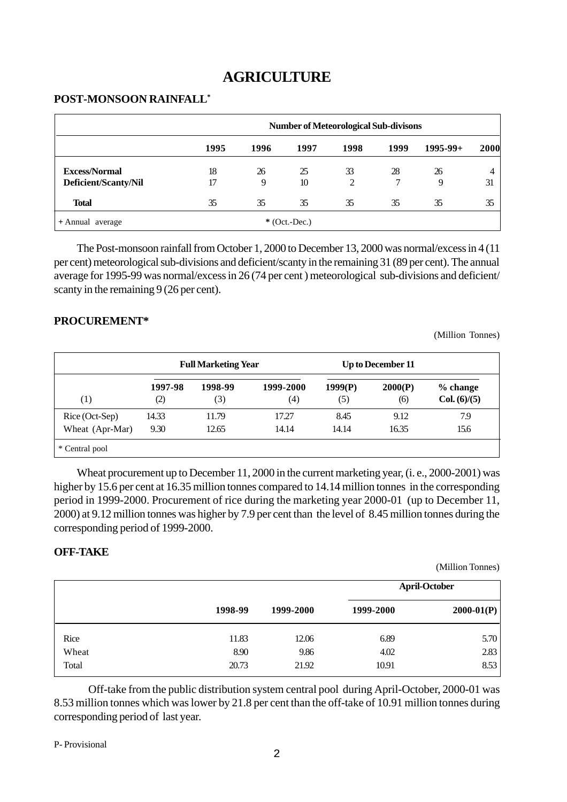# **AGRICULTURE**

#### **POST-MONSOON RAINFALL\***

|                                              |          |         | <b>Number of Meteorological Sub-divisons</b> |         |         |               |             |
|----------------------------------------------|----------|---------|----------------------------------------------|---------|---------|---------------|-------------|
|                                              | 1995     | 1996    | 1997                                         | 1998    | 1999    | $1995 - 99 +$ | <b>2000</b> |
| <b>Excess/Normal</b><br>Deficient/Scanty/Nil | 18<br>17 | 26<br>9 | 25<br>10                                     | 33<br>2 | 28<br>7 | 26<br>9       | 4<br>31     |
| <b>Total</b>                                 | 35       | 35      | 35                                           | 35      | 35      | 35            | 35          |
| + Annual average                             |          |         | $*(Oct.-Dec.)$                               |         |         |               |             |

The Post-monsoon rainfall from October 1, 2000 to December 13, 2000 was normal/excess in 4 (11 per cent) meteorological sub-divisions and deficient/scanty in the remaining 31 (89 per cent). The annual average for 1995-99 was normal/excess in 26 (74 per cent ) meteorological sub-divisions and deficient/ scanty in the remaining 9 (26 per cent).

#### **PROCUREMENT\***

(Million Tonnes)

|                 | <b>Full Marketing Year</b> |         |           |         | Up to December 11 |              |  |  |
|-----------------|----------------------------|---------|-----------|---------|-------------------|--------------|--|--|
| (1)             | 1997-98                    | 1998-99 | 1999-2000 | 1999(P) | 2000(P)           | % change     |  |  |
|                 | (2)                        | (3)     | (4)       | (5)     | (6)               | Col. (6)/(5) |  |  |
| Rice (Oct-Sep)  | 14.33                      | 11.79   | 17.27     | 8.45    | 9.12              | 7.9          |  |  |
| Wheat (Apr-Mar) | 9.30                       | 12.65   | 14.14     | 14.14   | 16.35             | 15.6         |  |  |
| * Central pool  |                            |         |           |         |                   |              |  |  |

Wheat procurement up to December 11, 2000 in the current marketing year, (i. e., 2000-2001) was higher by 15.6 per cent at 16.35 million tonnes compared to 14.14 million tonnes in the corresponding period in 1999-2000. Procurement of rice during the marketing year 2000-01 (up to December 11, 2000) at 9.12 million tonnes was higher by 7.9 per cent than the level of 8.45 million tonnes during the corresponding period of 1999-2000.

#### **OFF-TAKE**

(Million Tonnes)

|       |         |           |           | <b>April-October</b> |
|-------|---------|-----------|-----------|----------------------|
|       | 1998-99 | 1999-2000 | 1999-2000 | $2000-01(P)$         |
| Rice  | 11.83   | 12.06     | 6.89      | 5.70                 |
| Wheat | 8.90    | 9.86      | 4.02      | 2.83                 |
| Total | 20.73   | 21.92     | 10.91     | 8.53                 |

Off-take from the public distribution system central pool during April-October, 2000-01 was 8.53 million tonnes which was lower by 21.8 per cent than the off-take of 10.91 million tonnes during corresponding period of last year.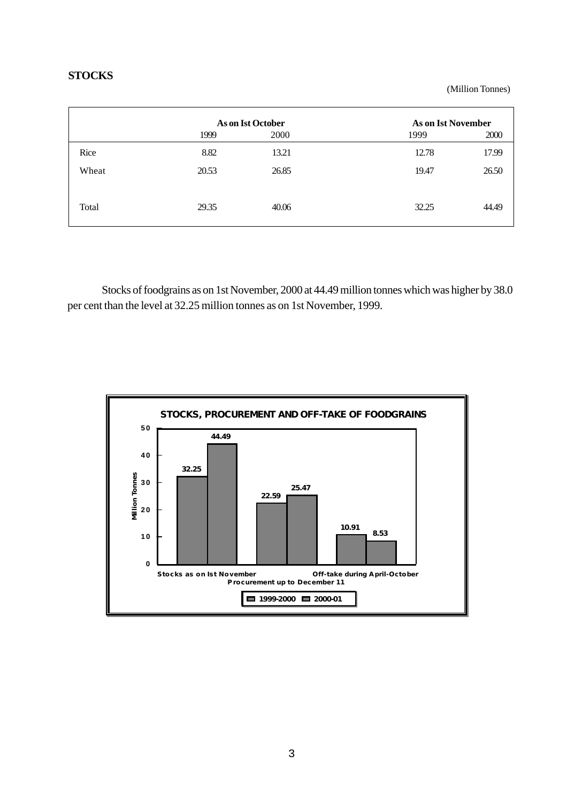#### **STOCKS**

(Million Tonnes)

|       |       | <b>As on Ist October</b> | <b>As on Ist November</b> |       |
|-------|-------|--------------------------|---------------------------|-------|
|       | 1999  | 2000                     | 1999                      | 2000  |
| Rice  | 8.82  | 13.21                    | 12.78                     | 17.99 |
| Wheat | 20.53 | 26.85                    | 19.47                     | 26.50 |
|       |       |                          |                           |       |
| Total | 29.35 | 40.06                    | 32.25                     | 44.49 |
|       |       |                          |                           |       |

Stocks of foodgrains as on 1st November, 2000 at 44.49 million tonnes which was higher by 38.0 per cent than the level at 32.25 million tonnes as on 1st November, 1999.

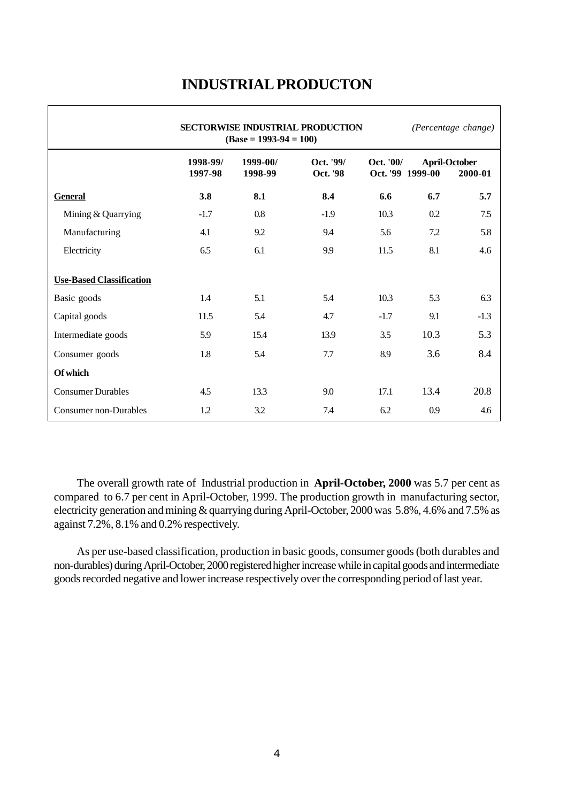|                                 |                     | $(Base = 1993-94 = 100)$ | <b>SECTORWISE INDUSTRIAL PRODUCTION</b> |           |                  | (Percentage change)             |
|---------------------------------|---------------------|--------------------------|-----------------------------------------|-----------|------------------|---------------------------------|
|                                 | 1998-99/<br>1997-98 | 1999-00/<br>1998-99      | Oct. '99/<br>Oct. '98                   | Oct. '00/ | Oct. '99 1999-00 | <b>April-October</b><br>2000-01 |
| <b>General</b>                  | 3.8                 | 8.1                      | 8.4                                     | 6.6       | 6.7              | 5.7                             |
| Mining & Quarrying              | $-1.7$              | 0.8                      | $-1.9$                                  | 10.3      | 0.2              | 7.5                             |
| Manufacturing                   | 4.1                 | 9.2                      | 9.4                                     | 5.6       | 7.2              | 5.8                             |
| Electricity                     | 6.5                 | 6.1                      | 9.9                                     | 11.5      | 8.1              | 4.6                             |
| <b>Use-Based Classification</b> |                     |                          |                                         |           |                  |                                 |
| Basic goods                     | 1.4                 | 5.1                      | 5.4                                     | 10.3      | 5.3              | 6.3                             |
| Capital goods                   | 11.5                | 5.4                      | 4.7                                     | $-1.7$    | 9.1              | $-1.3$                          |
| Intermediate goods              | 5.9                 | 15.4                     | 13.9                                    | 3.5       | 10.3             | 5.3                             |
| Consumer goods                  | 1.8                 | 5.4                      | 7.7                                     | 8.9       | 3.6              | 8.4                             |
| Of which                        |                     |                          |                                         |           |                  |                                 |
| <b>Consumer Durables</b>        | 4.5                 | 13.3                     | 9.0                                     | 17.1      | 13.4             | 20.8                            |
| Consumer non-Durables           | 1.2                 | 3.2                      | 7.4                                     | 6.2       | 0.9              | 4.6                             |

# **INDUSTRIAL PRODUCTON**

The overall growth rate of Industrial production in **April-October, 2000** was 5.7 per cent as compared to 6.7 per cent in April-October, 1999. The production growth in manufacturing sector, electricity generation and mining & quarrying during April-October, 2000 was 5.8%, 4.6% and 7.5% as against 7.2%, 8.1% and 0.2% respectively.

As per use-based classification, production in basic goods, consumer goods (both durables and non-durables) during April-October, 2000 registered higher increase while in capital goods and intermediate goods recorded negative and lower increase respectively over the corresponding period of last year.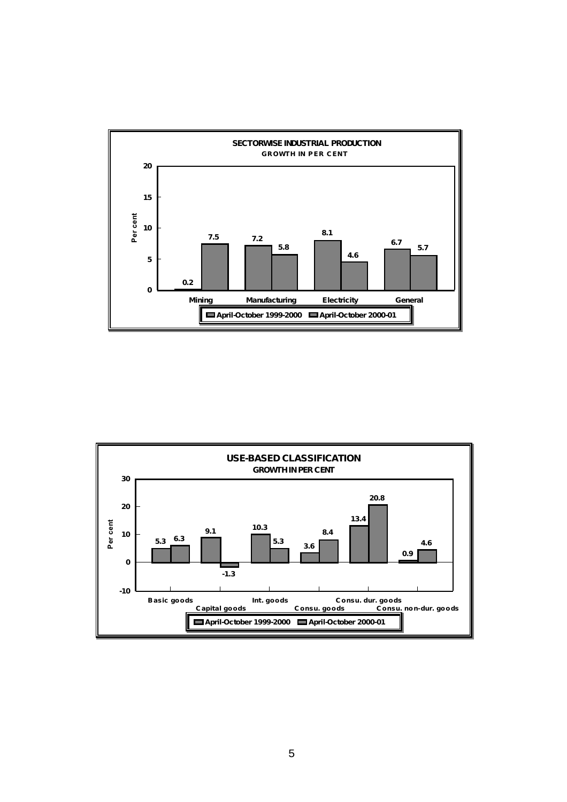

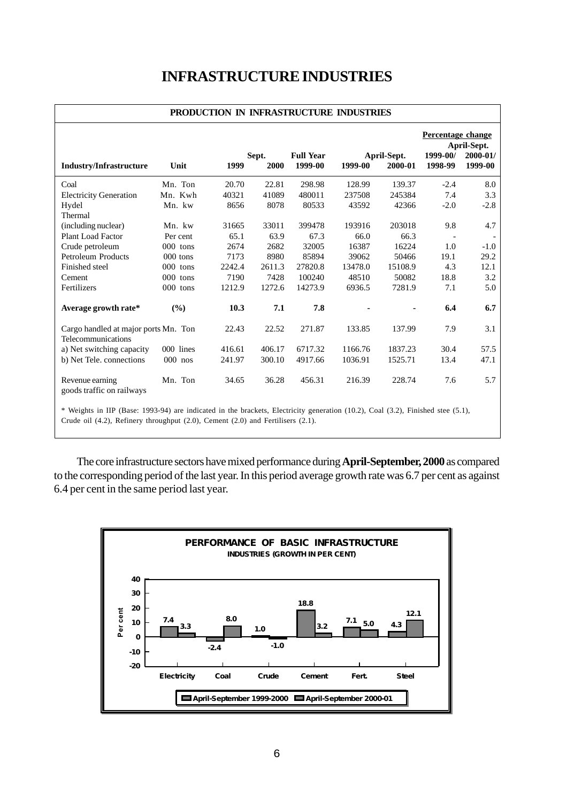# **INFRASTRUCTURE INDUSTRIES**

| PRODUCTION IN INFRASTRUCTURE INDUSTRIES                    |            |        |               |                             |         |                        |                                          |                                        |
|------------------------------------------------------------|------------|--------|---------------|-----------------------------|---------|------------------------|------------------------------------------|----------------------------------------|
| <b>Industry/Infrastructure</b>                             | Unit       | 1999   | Sept.<br>2000 | <b>Full Year</b><br>1999-00 | 1999-00 | April-Sept.<br>2000-01 | Percentage change<br>1999-00/<br>1998-99 | April-Sept.<br>$2000 - 01/$<br>1999-00 |
| Coal                                                       | Mn. Ton    | 20.70  | 22.81         | 298.98                      | 128.99  | 139.37                 | $-2.4$                                   | 8.0                                    |
| <b>Electricity Generation</b>                              | Mn. Kwh    | 40321  | 41089         | 480011                      | 237508  | 245384                 | 7.4                                      | 3.3                                    |
| Hydel                                                      | Mn. kw     | 8656   | 8078          | 80533                       | 43592   | 42366                  | $-2.0$                                   | $-2.8$                                 |
| Thermal                                                    |            |        |               |                             |         |                        |                                          |                                        |
| (including nuclear)                                        | Mn. kw     | 31665  | 33011         | 399478                      | 193916  | 203018                 | 9.8                                      | 4.7                                    |
| <b>Plant Load Factor</b>                                   | Per cent   | 65.1   | 63.9          | 67.3                        | 66.0    | 66.3                   |                                          |                                        |
| Crude petroleum                                            | 000 tons   | 2674   | 2682          | 32005                       | 16387   | 16224                  | 1.0                                      | $-1.0$                                 |
| Petroleum Products                                         | $000$ tons | 7173   | 8980          | 85894                       | 39062   | 50466                  | 19.1                                     | 29.2                                   |
| Finished steel                                             | $000$ tons | 2242.4 | 2611.3        | 27820.8                     | 13478.0 | 15108.9                | 4.3                                      | 12.1                                   |
| Cement                                                     | 000 tons   | 7190   | 7428          | 100240                      | 48510   | 50082                  | 18.8                                     | 3.2                                    |
| Fertilizers                                                | $000$ tons | 1212.9 | 1272.6        | 14273.9                     | 6936.5  | 7281.9                 | 7.1                                      | 5.0                                    |
| Average growth rate*                                       | (%)        | 10.3   | 7.1           | 7.8                         |         |                        | 6.4                                      | 6.7                                    |
| Cargo handled at major ports Mn. Ton<br>Telecommunications |            | 22.43  | 22.52         | 271.87                      | 133.85  | 137.99                 | 7.9                                      | 3.1                                    |
| a) Net switching capacity                                  | 000 lines  | 416.61 | 406.17        | 6717.32                     | 1166.76 | 1837.23                | 30.4                                     | 57.5                                   |
| b) Net Tele. connections                                   | $000$ nos  | 241.97 | 300.10        | 4917.66                     | 1036.91 | 1525.71                | 13.4                                     | 47.1                                   |
| Revenue earning<br>goods traffic on railways               | Mn. Ton    | 34.65  | 36.28         | 456.31                      | 216.39  | 228.74                 | 7.6                                      | 5.7                                    |

\* Weights in IIP (Base: 1993-94) are indicated in the brackets, Electricity generation (10.2), Coal (3.2), Finished stee (5.1), Crude oil (4.2), Refinery throughput (2.0), Cement (2.0) and Fertilisers (2.1).

The core infrastructure sectors have mixed performance during **April-September, 2000** as compared to the corresponding period of the last year. In this period average growth rate was 6.7 per cent as against 6.4 per cent in the same period last year.

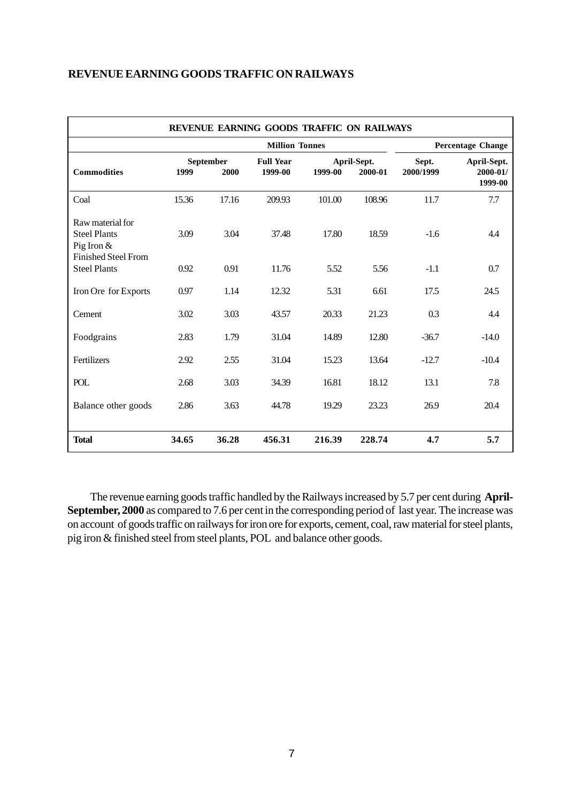| REVENUE EARNING GOODS TRAFFIC ON RAILWAYS                                             |       |                   |                             |         |                        |                    |                                    |
|---------------------------------------------------------------------------------------|-------|-------------------|-----------------------------|---------|------------------------|--------------------|------------------------------------|
|                                                                                       |       |                   | <b>Percentage Change</b>    |         |                        |                    |                                    |
| <b>Commodities</b>                                                                    | 1999  | September<br>2000 | <b>Full Year</b><br>1999-00 | 1999-00 | April-Sept.<br>2000-01 | Sept.<br>2000/1999 | April-Sept.<br>2000-01/<br>1999-00 |
| Coal                                                                                  | 15.36 | 17.16             | 209.93                      | 101.00  | 108.96                 | 11.7               | 7.7                                |
| Raw material for<br><b>Steel Plants</b><br>Pig Iron $&$<br><b>Finished Steel From</b> | 3.09  | 3.04              | 37.48                       | 17.80   | 18.59                  | $-1.6$             | 4.4                                |
| <b>Steel Plants</b>                                                                   | 0.92  | 0.91              | 11.76                       | 5.52    | 5.56                   | $-1.1$             | 0.7                                |
| Iron Ore for Exports                                                                  | 0.97  | 1.14              | 12.32                       | 5.31    | 6.61                   | 17.5               | 24.5                               |
| Cement                                                                                | 3.02  | 3.03              | 43.57                       | 20.33   | 21.23                  | 0.3                | 4.4                                |
| Foodgrains                                                                            | 2.83  | 1.79              | 31.04                       | 14.89   | 12.80                  | $-36.7$            | $-14.0$                            |
| Fertilizers                                                                           | 2.92  | 2.55              | 31.04                       | 15.23   | 13.64                  | $-12.7$            | $-10.4$                            |
| <b>POL</b>                                                                            | 2.68  | 3.03              | 34.39                       | 16.81   | 18.12                  | 13.1               | 7.8                                |
| Balance other goods                                                                   | 2.86  | 3.63              | 44.78                       | 19.29   | 23.23                  | 26.9               | 20.4                               |
| <b>Total</b>                                                                          | 34.65 | 36.28             | 456.31                      | 216.39  | 228.74                 | 4.7                | 5.7                                |

The revenue earning goods traffic handled by the Railways increased by 5.7 per cent during **April-September, 2000** as compared to 7.6 per cent in the corresponding period of last year. The increase was on account of goods traffic on railways for iron ore for exports, cement, coal, raw material for steel plants, pig iron & finished steel from steel plants, POL and balance other goods.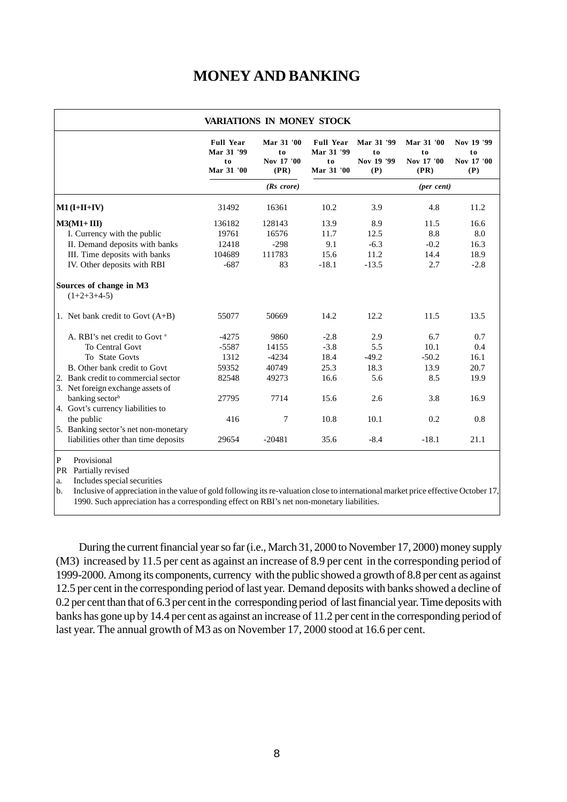# **MONEY AND BANKING**

|                                                                                         | <b>Full Year</b><br>Mar 31 '99<br>to<br>Mar 31 '00 | Mar 31 '00<br>t <sub>0</sub><br>Nov 17 '00<br>(PR) | <b>Full Year</b><br>Mar 31 '99<br>to<br>Mar 31 '00 | Mar 31 '99<br>t <sub>0</sub><br>Nov 19 '99<br>(P) | Mar 31 '00<br>t o<br>Nov 17 '00<br>(PR) | Nov 19 '99<br>t <sub>0</sub><br>Nov 17 '00<br>(P) |
|-----------------------------------------------------------------------------------------|----------------------------------------------------|----------------------------------------------------|----------------------------------------------------|---------------------------------------------------|-----------------------------------------|---------------------------------------------------|
|                                                                                         |                                                    | $(Rs \; correct)$                                  |                                                    |                                                   | $(per \; cent)$                         |                                                   |
| $M1$ (I+II+IV)                                                                          | 31492                                              | 16361                                              | 10.2                                               | 3.9                                               | 4.8                                     | 11.2                                              |
| $M3(M1+III)$                                                                            | 136182                                             | 128143                                             | 13.9                                               | 8.9                                               | 11.5                                    | 16.6                                              |
| I. Currency with the public                                                             | 19761                                              | 16576                                              | 11.7                                               | 12.5                                              | 8.8                                     | 8.0                                               |
| II. Demand deposits with banks                                                          | 12418                                              | $-298$                                             | 9.1                                                | $-6.3$                                            | $-0.2$                                  | 16.3                                              |
| III. Time deposits with banks                                                           | 104689                                             | 111783                                             | 15.6                                               | 11.2                                              | 14.4                                    | 18.9                                              |
| IV. Other deposits with RBI                                                             | $-687$                                             | 83                                                 | $-18.1$                                            | $-13.5$                                           | 2.7                                     | $-2.8$                                            |
| Sources of change in M3<br>$(1+2+3+4-5)$                                                |                                                    |                                                    |                                                    |                                                   |                                         |                                                   |
| 1. Net bank credit to Govt $(A+B)$                                                      | 55077                                              | 50669                                              | 14.2                                               | 12.2                                              | 11.5                                    | 13.5                                              |
| A. RBI's net credit to Govt <sup>a</sup>                                                | $-4275$                                            | 9860                                               | $-2.8$                                             | 2.9                                               | 6.7                                     | 0.7                                               |
| To Central Govt                                                                         | $-5587$                                            | 14155                                              | $-3.8$                                             | 5.5                                               | 10.1                                    | 0.4                                               |
| To State Govts                                                                          | 1312                                               | $-4234$                                            | 18.4                                               | $-49.2$                                           | $-50.2$                                 | 16.1                                              |
| B. Other bank credit to Govt                                                            | 59352                                              | 40749                                              | 25.3                                               | 18.3                                              | 13.9                                    | 20.7                                              |
| 2. Bank credit to commercial sector<br>3. Net foreign exchange assets of                | 82548                                              | 49273                                              | 16.6                                               | 5.6                                               | 8.5                                     | 19.9                                              |
| banking sector <sup>b</sup>                                                             | 27795                                              | 7714                                               | 15.6                                               | 2.6                                               | 3.8                                     | 16.9                                              |
| 4. Govt's currency liabilities to<br>the public<br>5. Banking sector's net non-monetary | 416                                                | 7                                                  | 10.8                                               | 10.1                                              | 0.2                                     | 0.8                                               |
| liabilities other than time deposits                                                    | 29654                                              | $-20481$                                           | 35.6                                               | $-8.4$                                            | $-18.1$                                 | 21.1                                              |

PR Partially revised

a. Includes special securities

b. Inclusive of appreciation in the value of gold following its re-valuation close to international market price effective October 17, 1990. Such appreciation has a corresponding effect on RBI's net non-monetary liabilities.

During the current financial year so far (i.e., March 31, 2000 to November 17, 2000) money supply (M3) increased by 11.5 per cent as against an increase of 8.9 per cent in the corresponding period of 1999-2000. Among its components, currency with the public showed a growth of 8.8 per cent as against 12.5 per cent in the corresponding period of last year. Demand deposits with banks showed a decline of 0.2 per cent than that of 6.3 per cent in the corresponding period of last financial year. Time deposits with banks has gone up by 14.4 per cent as against an increase of 11.2 per cent in the corresponding period of last year. The annual growth of M3 as on November 17, 2000 stood at 16.6 per cent.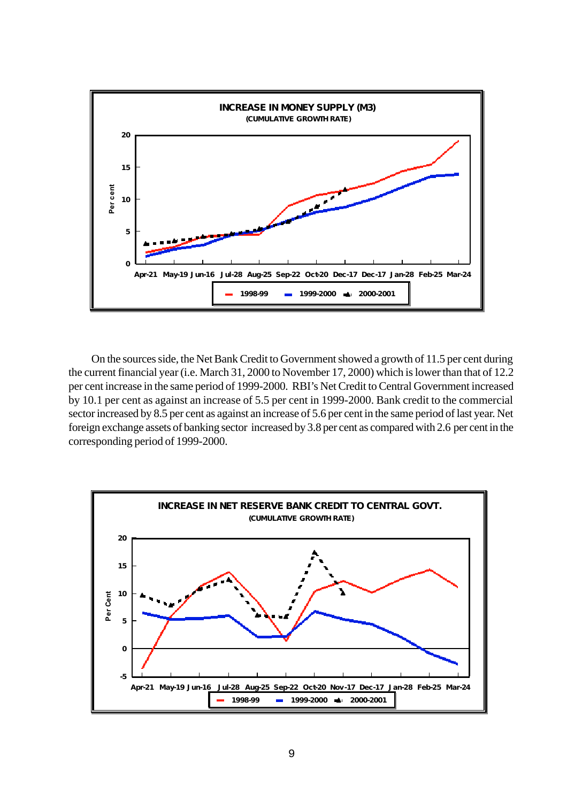

On the sources side, the Net Bank Credit to Government showed a growth of 11.5 per cent during the current financial year (i.e. March 31, 2000 to November 17, 2000) which is lower than that of 12.2 per cent increase in the same period of 1999-2000. RBI's Net Credit to Central Government increased by 10.1 per cent as against an increase of 5.5 per cent in 1999-2000. Bank credit to the commercial sector increased by 8.5 per cent as against an increase of 5.6 per cent in the same period of last year. Net foreign exchange assets of banking sector increased by 3.8 per cent as compared with 2.6 per cent in the corresponding period of 1999-2000.

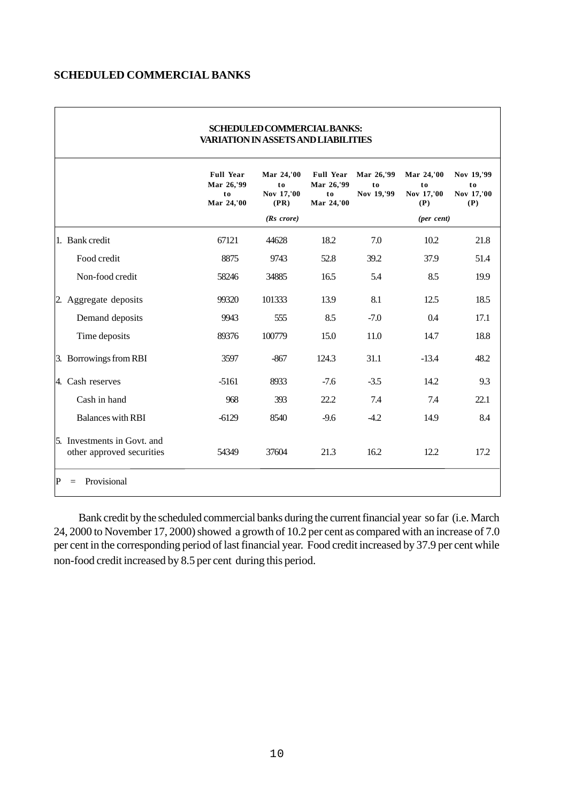#### **SCHEDULED COMMERCIAL BANKS**

| <b>VARIATION IN ASSETS AND LIABILITIES</b>               |                                                    |                                        |                                                    |                                |                                       |                                       |  |
|----------------------------------------------------------|----------------------------------------------------|----------------------------------------|----------------------------------------------------|--------------------------------|---------------------------------------|---------------------------------------|--|
|                                                          | <b>Full Year</b><br>Mar 26,'99<br>to<br>Mar 24,'00 | Mar 24,'00<br>to<br>Nov 17,'00<br>(PR) | <b>Full Year</b><br>Mar 26,'99<br>to<br>Mar 24,'00 | Mar 26,'99<br>to<br>Nov 19,'99 | Mar 24,'00<br>to<br>Nov 17,'00<br>(P) | Nov 19,'99<br>to<br>Nov 17,'00<br>(P) |  |
|                                                          |                                                    | $(Rs \; correct)$                      |                                                    |                                | $(per \; cent)$                       |                                       |  |
| 1. Bank credit                                           | 67121                                              | 44628                                  | 18.2                                               | 7.0                            | 10.2                                  | 21.8                                  |  |
| Food credit                                              | 8875                                               | 9743                                   | 52.8                                               | 39.2                           | 37.9                                  | 51.4                                  |  |
| Non-food credit                                          | 58246                                              | 34885                                  | 16.5                                               | 5.4                            | 8.5                                   | 19.9                                  |  |
| 2. Aggregate deposits                                    | 99320                                              | 101333                                 | 13.9                                               | 8.1                            | 12.5                                  | 18.5                                  |  |
| Demand deposits                                          | 9943                                               | 555                                    | 8.5                                                | $-7.0$                         | 0.4                                   | 17.1                                  |  |
| Time deposits                                            | 89376                                              | 100779                                 | 15.0                                               | 11.0                           | 14.7                                  | 18.8                                  |  |
| 3. Borrowings from RBI                                   | 3597                                               | $-867$                                 | 124.3                                              | 31.1                           | $-13.4$                               | 48.2                                  |  |
| 4. Cash reserves                                         | $-5161$                                            | 8933                                   | $-7.6$                                             | $-3.5$                         | 14.2                                  | 9.3                                   |  |
| Cash in hand                                             | 968                                                | 393                                    | 22.2                                               | 7.4                            | 7.4                                   | 22.1                                  |  |
| <b>Balances with RBI</b>                                 | $-6129$                                            | 8540                                   | $-9.6$                                             | $-4.2$                         | 14.9                                  | 8.4                                   |  |
| 5. Investments in Govt. and<br>other approved securities | 54349                                              | 37604                                  | 21.3                                               | 16.2                           | 12.2                                  | 17.2                                  |  |
| Provisional<br>ΙP<br>$=$                                 |                                                    |                                        |                                                    |                                |                                       |                                       |  |

# **SCHEDULED COMMERCIAL BANKS:**

 Bank credit by the scheduled commercial banks during the current financial year so far (i.e. March 24, 2000 to November 17, 2000) showed a growth of 10.2 per cent as compared with an increase of 7.0 per cent in the corresponding period of last financial year. Food credit increased by 37.9 per cent while non-food credit increased by 8.5 per cent during this period.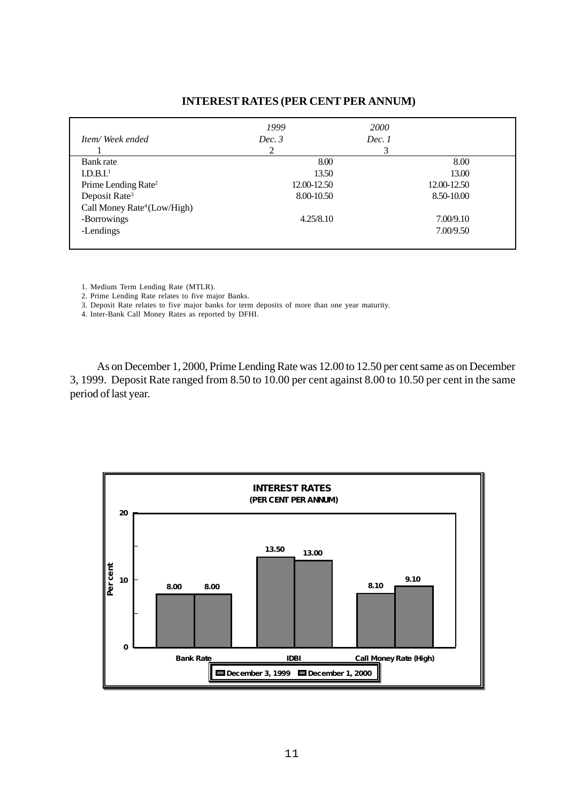### *1999 2000 Item/Week ended Dec. 3* Dec. 1 1  $2$  3 Bank rate and the set of the set of the set of the set of the set of the set of the set of the set of the set of the set of the set of the set of the set of the set of the set of the set of the set of the set of the set of  $13.50$  13.00  $13.00$ Prime Lending Rate<sup>2</sup> 12.00-12.50 12.00-12.50 12.00-12.50 12.00-12.50 12.00-12.50 Deposit Rate<sup>3</sup> Call Money Rate<sup>4</sup> (Low/High) -Borrowings 4.25/8.10 7.00/9.10 -Lendings 7.00/9.50

#### **INTEREST RATES (PER CENT PER ANNUM)**

1. Medium Term Lending Rate (MTLR).

2. Prime Lending Rate relates to five major Banks.

3. Deposit Rate relates to five major banks for term deposits of more than one year maturity.

4. Inter-Bank Call Money Rates as reported by DFHI.

As on December 1, 2000, Prime Lending Rate was 12.00 to 12.50 per cent same as on December 3, 1999. Deposit Rate ranged from 8.50 to 10.00 per cent against 8.00 to 10.50 per cent in the same period of last year.

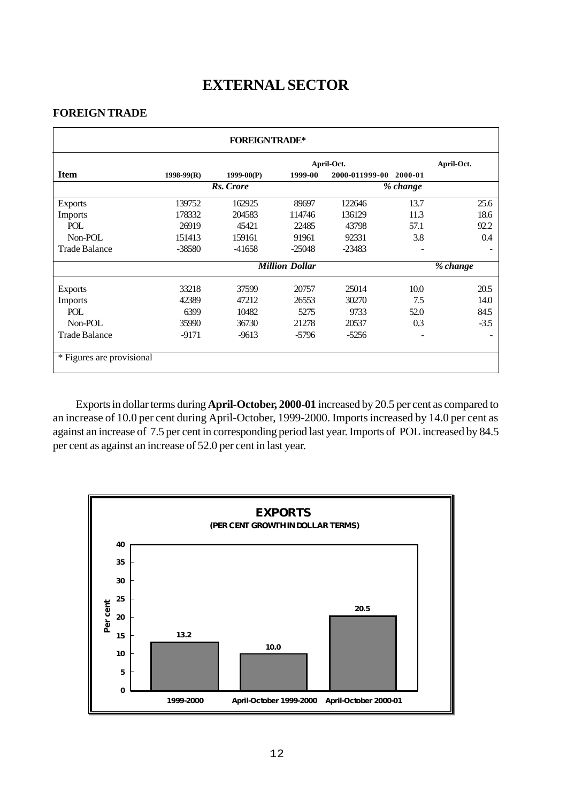# **EXTERNAL SECTOR**

#### **FOREIGN TRADE**

|                           |              | <b>FOREIGNTRADE*</b> |                       |                |          |            |
|---------------------------|--------------|----------------------|-----------------------|----------------|----------|------------|
|                           |              |                      |                       | April-Oct.     |          | April-Oct. |
| <b>Item</b>               | $1998-99(R)$ | $1999-00(P)$         | 1999-00               | 2000-011999-00 | 2000-01  |            |
|                           |              | Rs. Crore            |                       |                | % change |            |
| <b>Exports</b>            | 139752       | 162925               | 89697                 | 122646         | 13.7     | 25.6       |
| <b>Imports</b>            | 178332       | 204583               | 114746                | 136129         | 11.3     | 18.6       |
| POL                       | 26919        | 45421                | 22485                 | 43798          | 57.1     | 92.2       |
| Non-POL                   | 151413       | 159161               | 91961                 | 92331          | 3.8      | 0.4        |
| <b>Trade Balance</b>      | $-38580$     | -41658               | $-25048$              | $-23483$       |          |            |
|                           |              |                      | <b>Million Dollar</b> |                |          | % change   |
| <b>Exports</b>            | 33218        | 37599                | 20757                 | 25014          | 10.0     | 20.5       |
| <b>Imports</b>            | 42389        | 47212                | 26553                 | 30270          | 7.5      | 14.0       |
| POL                       | 6399         | 10482                | 5275                  | 9733           | 52.0     | 84.5       |
| Non-POL                   | 35990        | 36730                | 21278                 | 20537          | 0.3      | $-3.5$     |
| <b>Trade Balance</b>      | $-9171$      | $-9613$              | $-5796$               | $-5256$        |          |            |
| * Figures are provisional |              |                      |                       |                |          |            |

Exports in dollar terms during **April-October, 2000-01** increased by 20.5 per cent as compared to an increase of 10.0 per cent during April-October, 1999-2000. Imports increased by 14.0 per cent as against an increase of 7.5 per cent in corresponding period last year. Imports of POL increased by 84.5 per cent as against an increase of 52.0 per cent in last year.

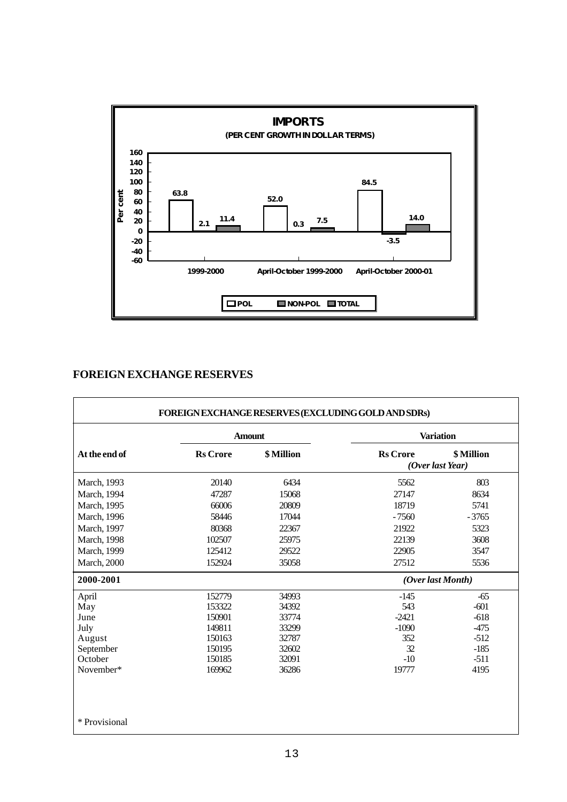

## **FOREIGN EXCHANGE RESERVES**

|                     |                 | <b>Amount</b> | <b>Variation</b> |                                |  |
|---------------------|-----------------|---------------|------------------|--------------------------------|--|
| At the end of       | <b>Rs</b> Crore | \$ Million    | <b>Rs</b> Crore  | \$ Million<br>(Over last Year) |  |
| March, 1993         | 20140           | 6434          | 5562             | 803                            |  |
| March, 1994         | 47287           | 15068         | 27147            | 8634                           |  |
| March, 1995         | 66006           | 20809         | 18719            | 5741                           |  |
| March, 1996         | 58446           | 17044         | $-7560$          | $-3765$                        |  |
| March, 1997         | 80368           | 22367         | 21922            | 5323                           |  |
| <b>March</b> , 1998 | 102507          | 25975         | 22139            | 3608                           |  |
| March, 1999         | 125412          | 29522         | 22905            | 3547                           |  |
| <b>March</b> , 2000 | 152924          | 35058         | 27512            | 5536                           |  |
| 2000-2001           |                 |               |                  | (Over last Month)              |  |
| April               | 152779          | 34993         | $-145$           | $-65$                          |  |
| May                 | 153322          | 34392         | 543              | $-601$                         |  |
| June                | 150901          | 33774         | $-2421$          | $-618$                         |  |
| July                | 149811          | 33299         | $-1090$          | $-475$                         |  |
| August              | 150163          | 32787         | 352              | $-512$                         |  |
| September           | 150195          | 32602         | 32               | $-185$                         |  |
| October             | 150185          | 32091         | $-10$            | $-511$                         |  |
| November*           | 169962          | 36286         | 19777            | 4195                           |  |
| * Provisional       |                 |               |                  |                                |  |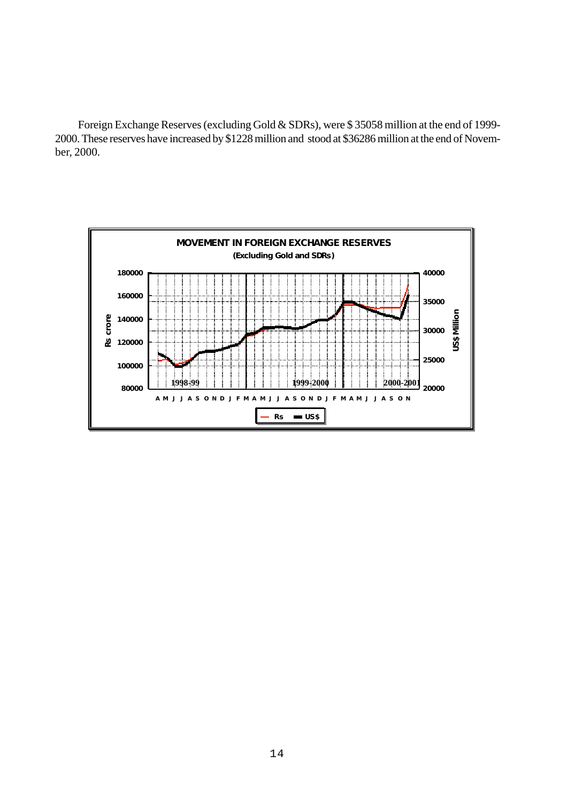Foreign Exchange Reserves (excluding Gold & SDRs), were \$ 35058 million at the end of 1999- 2000. These reserves have increased by \$1228 million and stood at \$36286 million at the end of November, 2000.

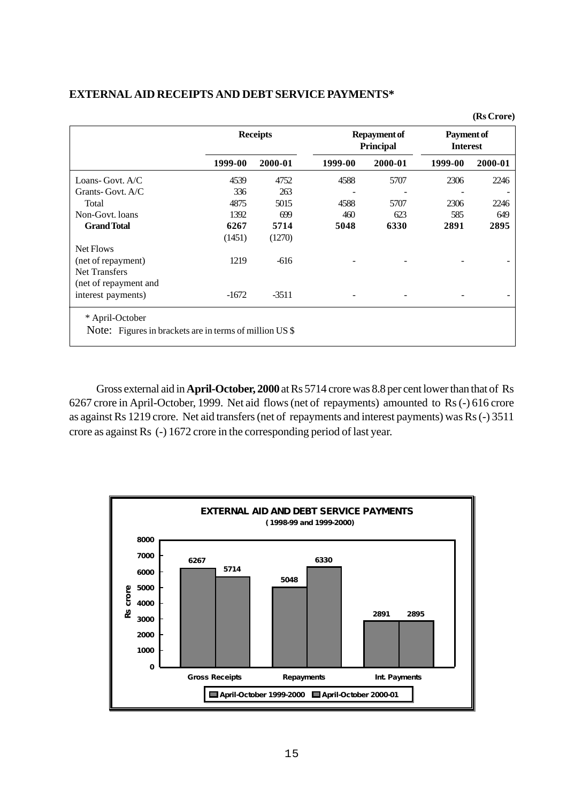#### **EXTERNAL AID RECEIPTS AND DEBT SERVICE PAYMENTS\***

|                                                         |         | <b>Receipts</b> |         | <b>Repayment of</b><br><b>Principal</b> |         | Payment of<br><b>Interest</b> |  |
|---------------------------------------------------------|---------|-----------------|---------|-----------------------------------------|---------|-------------------------------|--|
|                                                         | 1999-00 | 2000-01         | 1999-00 | 2000-01                                 | 1999-00 | 2000-01                       |  |
| Loans-Govt. A/C                                         | 4539    | 4752            | 4588    | 5707                                    | 2306    | 2246                          |  |
| Grants-Govt. A/C                                        | 336     | 263             |         |                                         |         |                               |  |
| Total                                                   | 4875    | 5015            | 4588    | 5707                                    | 2306    | 2246                          |  |
| Non-Govt. loans                                         | 1392    | 699             | 460     | 623                                     | 585     | 649                           |  |
| <b>Grand Total</b>                                      | 6267    | 5714            | 5048    | 6330                                    | 2891    | 2895                          |  |
|                                                         | (1451)  | (1270)          |         |                                         |         |                               |  |
| Net Flows                                               |         |                 |         |                                         |         |                               |  |
| (net of repayment)                                      | 1219    | $-616$          |         |                                         |         |                               |  |
| <b>Net Transfers</b>                                    |         |                 |         |                                         |         |                               |  |
| (net of repayment and                                   |         |                 |         |                                         |         |                               |  |
| interest payments)                                      | $-1672$ | $-3511$         |         |                                         |         |                               |  |
| * April-October                                         |         |                 |         |                                         |         |                               |  |
| Note: Figures in brackets are in terms of million US \$ |         |                 |         |                                         |         |                               |  |

Gross external aid in **April-October, 2000** at Rs 5714 crore was 8.8 per cent lower than that of Rs 6267 crore in April-October, 1999. Net aid flows (net of repayments) amounted to Rs (-) 616 crore as against Rs 1219 crore. Net aid transfers (net of repayments and interest payments) was Rs (-) 3511 crore as against Rs (-) 1672 crore in the corresponding period of last year.

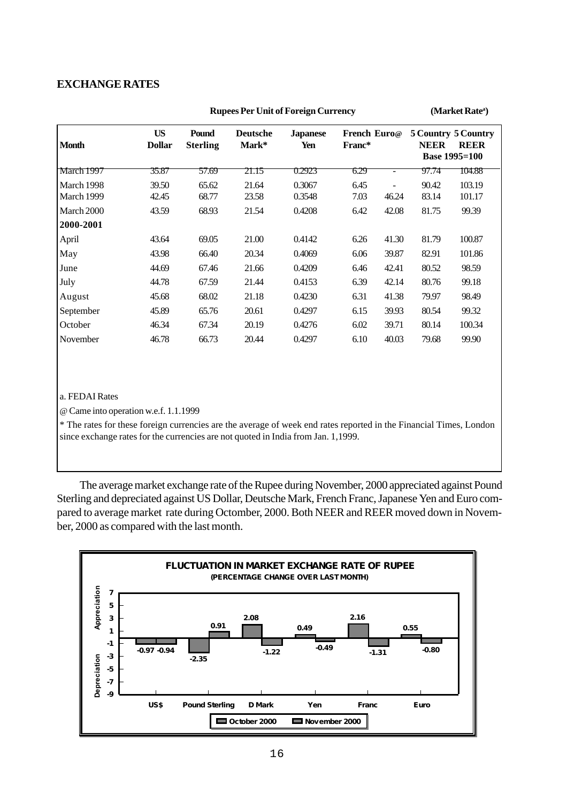#### **EXCHANGE RATES**

| <b>Month</b> | <b>US</b><br><b>Dollar</b> | Pound<br><b>Sterling</b> | <b>Deutsche</b><br>Mark* | <b>Japanese</b><br>Yen | French Euro@<br>Franc* |       | <b>NEER</b> | 5 Country 5 Country<br><b>REER</b><br><b>Base 1995=100</b> |
|--------------|----------------------------|--------------------------|--------------------------|------------------------|------------------------|-------|-------------|------------------------------------------------------------|
| March 1997   | 35.87                      | 57.69                    | 21.15                    | 0.2923                 | 6.29                   |       | 97.74       | 104.88                                                     |
| March 1998   | 39.50                      | 65.62                    | 21.64                    | 0.3067                 | 6.45                   |       | 90.42       | 103.19                                                     |
| March 1999   | 42.45                      | 68.77                    | 23.58                    | 0.3548                 | 7.03                   | 46.24 | 83.14       | 101.17                                                     |
| March 2000   | 43.59                      | 68.93                    | 21.54                    | 0.4208                 | 6.42                   | 42.08 | 81.75       | 99.39                                                      |
| 2000-2001    |                            |                          |                          |                        |                        |       |             |                                                            |
| April        | 43.64                      | 69.05                    | 21.00                    | 0.4142                 | 6.26                   | 41.30 | 81.79       | 100.87                                                     |
| May          | 43.98                      | 66.40                    | 20.34                    | 0.4069                 | 6.06                   | 39.87 | 82.91       | 101.86                                                     |
| June         | 44.69                      | 67.46                    | 21.66                    | 0.4209                 | 6.46                   | 42.41 | 80.52       | 98.59                                                      |
| July         | 44.78                      | 67.59                    | 21.44                    | 0.4153                 | 6.39                   | 42.14 | 80.76       | 99.18                                                      |
| August       | 45.68                      | 68.02                    | 21.18                    | 0.4230                 | 6.31                   | 41.38 | 79.97       | 98.49                                                      |
| September    | 45.89                      | 65.76                    | 20.61                    | 0.4297                 | 6.15                   | 39.93 | 80.54       | 99.32                                                      |
| October      | 46.34                      | 67.34                    | 20.19                    | 0.4276                 | 6.02                   | 39.71 | 80.14       | 100.34                                                     |
| November     | 46.78                      | 66.73                    | 20.44                    | 0.4297                 | 6.10                   | 40.03 | 79.68       | 99.90                                                      |

**Rupees Per Unit of Foreign Currency** 

(Market Rate<sup>a</sup>)

#### a. FEDAI Rates

@ Came into operation w.e.f. 1.1.1999

\* The rates for these foreign currencies are the average of week end rates reported in the Financial Times, London since exchange rates for the currencies are not quoted in India from Jan. 1,1999.

The average market exchange rate of the Rupee during November, 2000 appreciated against Pound Sterling and depreciated against US Dollar, Deutsche Mark, French Franc, Japanese Yen and Euro compared to average market rate during Octomber, 2000. Both NEER and REER moved down in November, 2000 as compared with the last month.

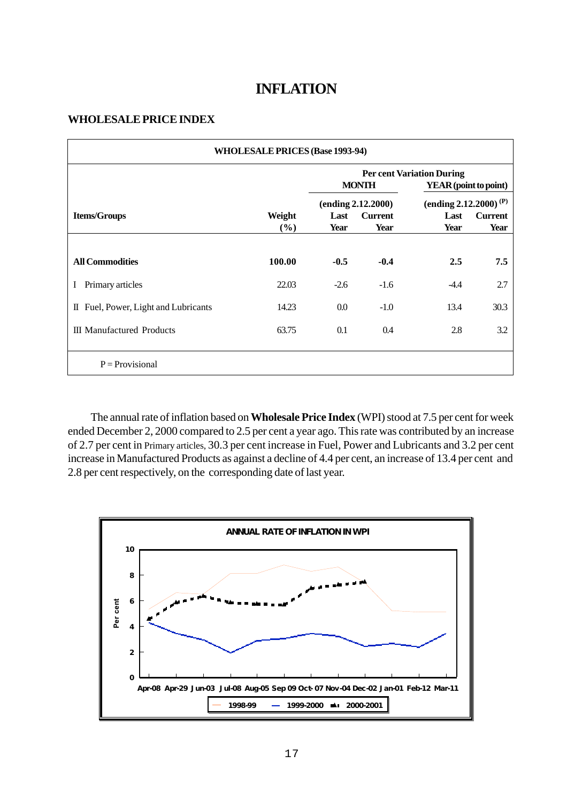## **INFLATION**

#### **WHOLESALE PRICE INDEX**

| <b>WHOLESALE PRICES (Base 1993-94)</b> |               |                    |                        |                                                           |                        |  |  |
|----------------------------------------|---------------|--------------------|------------------------|-----------------------------------------------------------|------------------------|--|--|
|                                        |               |                    | <b>MONTH</b>           | <b>Per cent Variation During</b><br>YEAR (point to point) |                        |  |  |
|                                        |               | (ending 2.12.2000) |                        | (ending 2.12.2000) <sup>(P)</sup>                         |                        |  |  |
| <b>Items/Groups</b>                    | Weight<br>(%) | Last<br>Year       | <b>Current</b><br>Year | Last<br>Year                                              | <b>Current</b><br>Year |  |  |
|                                        |               |                    |                        |                                                           |                        |  |  |
| <b>All Commodities</b>                 | 100.00        | $-0.5$             | $-0.4$                 | 2.5                                                       | 7.5                    |  |  |
| Primary articles                       | 22.03         | $-2.6$             | $-1.6$                 | $-4.4$                                                    | 2.7                    |  |  |
| II Fuel, Power, Light and Lubricants   | 14.23         | 0.0                | $-1.0$                 | 13.4                                                      | 30.3                   |  |  |
| <b>III</b> Manufactured Products       | 63.75         | 0.1                | 0.4                    | 2.8                                                       | 3.2                    |  |  |
|                                        |               |                    |                        |                                                           |                        |  |  |
| $P = Provisional$                      |               |                    |                        |                                                           |                        |  |  |

The annual rate of inflation based on **Wholesale Price Index** (WPI) stood at 7.5 per cent for week ended December 2, 2000 compared to 2.5 per cent a year ago. This rate was contributed by an increase of 2.7 per cent in Primary articles, 30.3 per cent increase in Fuel, Power and Lubricants and 3.2 per cent increase in Manufactured Products as against a decline of 4.4 per cent, an increase of 13.4 per cent and 2.8 per cent respectively, on the corresponding date of last year.

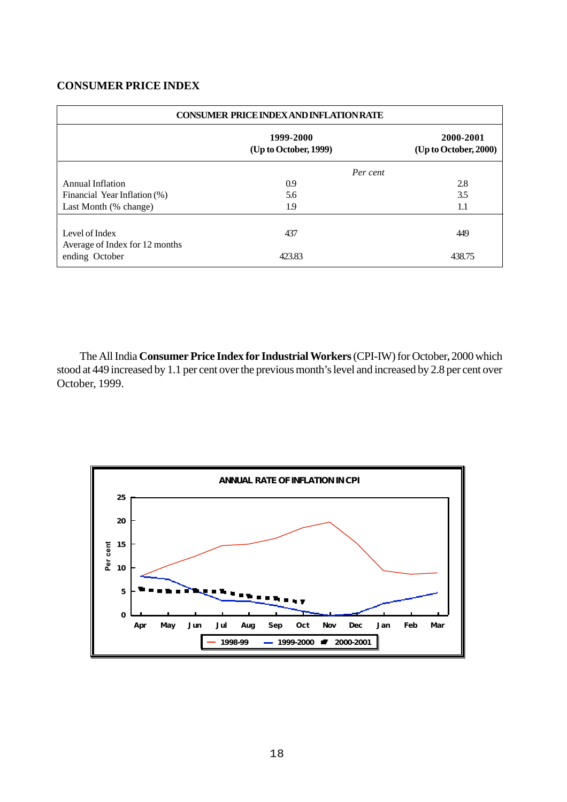#### **CONSUMER PRICE INDEX**

| <b>CONSUMER PRICE INDEX AND INFLATION RATE</b>   |                                    |                                    |  |  |  |
|--------------------------------------------------|------------------------------------|------------------------------------|--|--|--|
|                                                  | 1999-2000<br>(Up to October, 1999) | 2000-2001<br>(Up to October, 2000) |  |  |  |
| Per cent                                         |                                    |                                    |  |  |  |
| Annual Inflation                                 | 0.9                                | 2.8                                |  |  |  |
| Financial Year Inflation (%)                     | 5.6                                | 3.5                                |  |  |  |
| Last Month (% change)                            | 1.9                                | 1.1                                |  |  |  |
| Level of Index<br>Average of Index for 12 months | 437                                | 449                                |  |  |  |
| ending October                                   | 423.83                             | 438.75                             |  |  |  |

The All India **Consumer Price Index for Industrial Workers** (CPI-IW) for October**,** 2000 which stood at 449 increased by 1.1 per cent over the previous month's level and increased by 2.8 per cent over October, 1999.